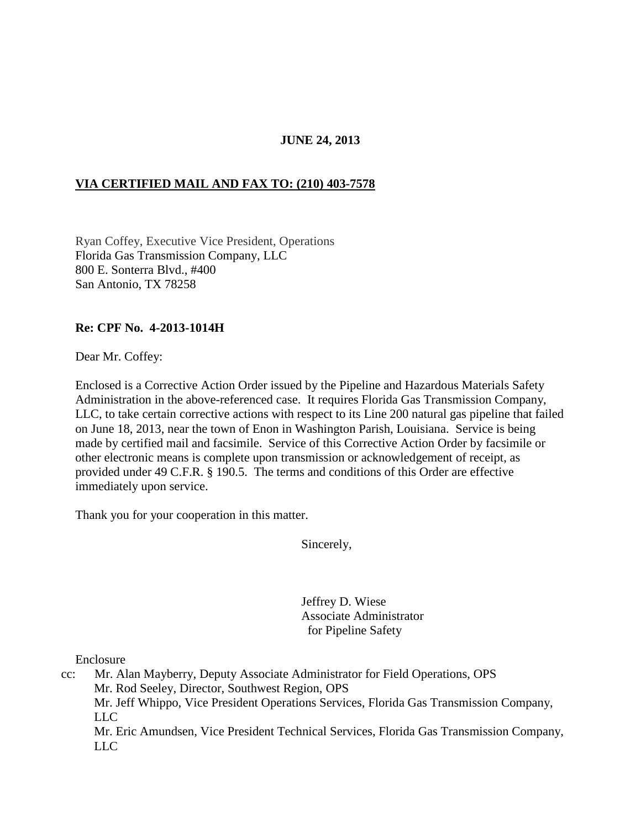# **JUNE 24, 2013**

# **VIA CERTIFIED MAIL AND FAX TO: (210) 403-7578**

Ryan Coffey, Executive Vice President, Operations Florida Gas Transmission Company, LLC 800 E. Sonterra Blvd., #400 San Antonio, TX 78258

#### **Re: CPF No. 4-2013-1014H**

Dear Mr. Coffey:

Enclosed is a Corrective Action Order issued by the Pipeline and Hazardous Materials Safety Administration in the above-referenced case. It requires Florida Gas Transmission Company, LLC, to take certain corrective actions with respect to its Line 200 natural gas pipeline that failed on June 18, 2013, near the town of Enon in Washington Parish, Louisiana. Service is being made by certified mail and facsimile. Service of this Corrective Action Order by facsimile or other electronic means is complete upon transmission or acknowledgement of receipt, as provided under 49 C.F.R. § 190.5. The terms and conditions of this Order are effective immediately upon service.

Thank you for your cooperation in this matter.

Sincerely,

 Jeffrey D. Wiese Associate Administrator for Pipeline Safety

Enclosure

cc: Mr. Alan Mayberry, Deputy Associate Administrator for Field Operations, OPS Mr. Rod Seeley, Director, Southwest Region, OPS Mr. Jeff Whippo, Vice President Operations Services, Florida Gas Transmission Company, LLC Mr. Eric Amundsen, Vice President Technical Services, Florida Gas Transmission Company, LLC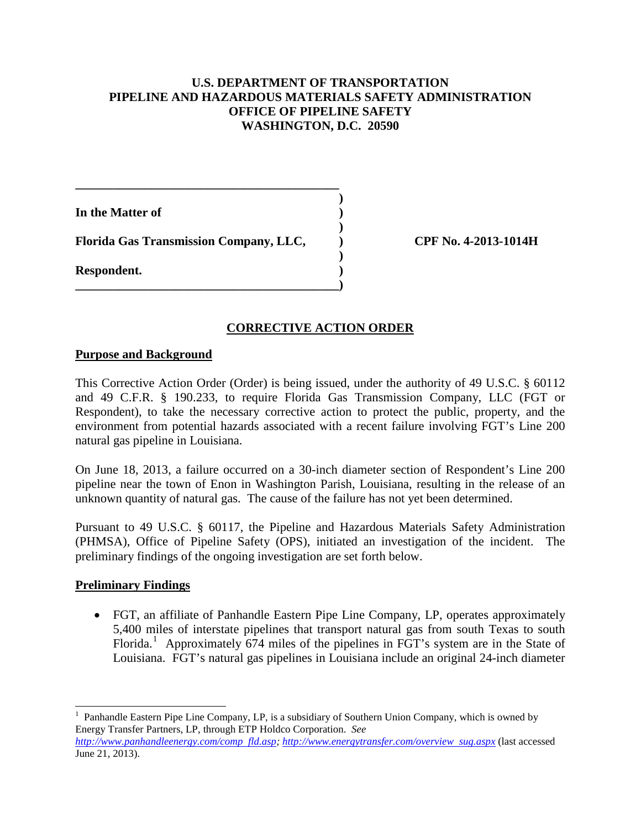### **U.S. DEPARTMENT OF TRANSPORTATION PIPELINE AND HAZARDOUS MATERIALS SAFETY ADMINISTRATION OFFICE OF PIPELINE SAFETY WASHINGTON, D.C. 20590**

 **)** 

**In the Matter of )** 

 **) Florida Gas Transmission Company, LLC, ) CPF No. 4-2013-1014H** 

**\_\_\_\_\_\_\_\_\_\_\_\_\_\_\_\_\_\_\_\_\_\_\_\_\_\_\_\_\_\_\_\_\_\_\_\_\_\_\_\_\_\_** 

 **)** 

**\_\_\_\_\_\_\_\_\_\_\_\_\_\_\_\_\_\_\_\_\_\_\_\_\_\_\_\_\_\_\_\_\_\_\_\_\_\_\_\_\_\_)** 

**Respondent. )** 

# **CORRECTIVE ACTION ORDER**

# **Purpose and Background**

This Corrective Action Order (Order) is being issued, under the authority of 49 U.S.C. § 60112 and 49 C.F.R. § 190.233, to require Florida Gas Transmission Company, LLC (FGT or Respondent), to take the necessary corrective action to protect the public, property, and the environment from potential hazards associated with a recent failure involving FGT's Line 200 natural gas pipeline in Louisiana.

On June 18, 2013, a failure occurred on a 30-inch diameter section of Respondent's Line 200 pipeline near the town of Enon in Washington Parish, Louisiana, resulting in the release of an unknown quantity of natural gas. The cause of the failure has not yet been determined.

Pursuant to 49 U.S.C. § 60117, the Pipeline and Hazardous Materials Safety Administration (PHMSA), Office of Pipeline Safety (OPS), initiated an investigation of the incident. The preliminary findings of the ongoing investigation are set forth below.

# **Preliminary Findings**

• FGT, an affiliate of Panhandle Eastern Pipe Line Company, LP, operates approximately 5,400 miles of interstate pipelines that transport natural gas from south Texas to south Florida.<sup>1</sup> Approximately 674 miles of the pipelines in FGT's system are in the State of Louisiana. FGT's natural gas pipelines in Louisiana include an original 24-inch diameter

 $\overline{a}$ 1 Panhandle Eastern Pipe Line Company, LP, is a subsidiary of Southern Union Company, which is owned by Energy Transfer Partners, LP, through ETP Holdco Corporation. *See*

*http://www.panhandleenergy.com/comp fld.asp; http://www.energytransfer.com/overview sug.aspx* (last accessed June 21, 2013).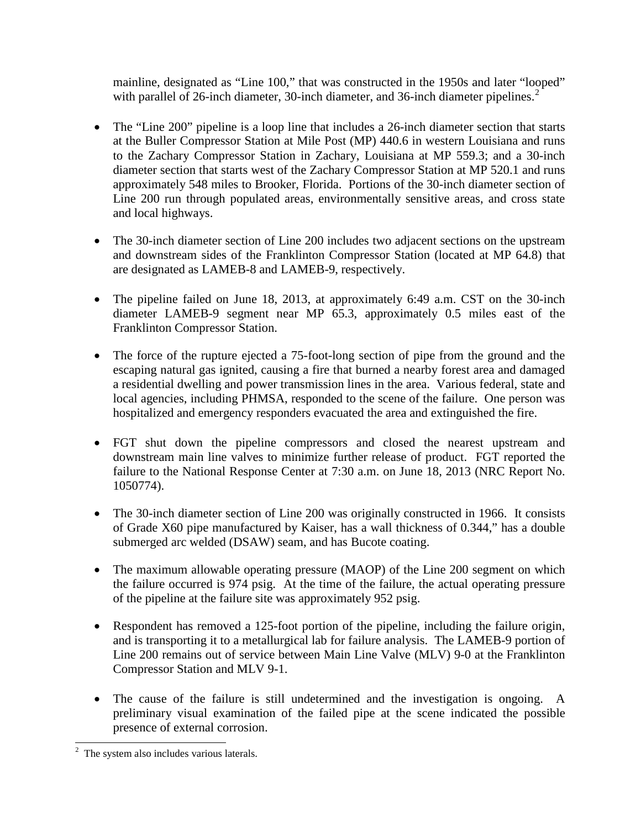mainline, designated as "Line 100," that was constructed in the 1950s and later "looped" with parallel of 26-inch diameter, 30-inch diameter, and 36-inch diameter pipelines.<sup>2</sup>

- The "Line 200" pipeline is a loop line that includes a 26-inch diameter section that starts at the Buller Compressor Station at Mile Post (MP) 440.6 in western Louisiana and runs to the Zachary Compressor Station in Zachary, Louisiana at MP 559.3; and a 30-inch diameter section that starts west of the Zachary Compressor Station at MP 520.1 and runs approximately 548 miles to Brooker, Florida. Portions of the 30-inch diameter section of Line 200 run through populated areas, environmentally sensitive areas, and cross state and local highways.
- The 30-inch diameter section of Line 200 includes two adjacent sections on the upstream and downstream sides of the Franklinton Compressor Station (located at MP 64.8) that are designated as LAMEB-8 and LAMEB-9, respectively.
- The pipeline failed on June 18, 2013, at approximately 6:49 a.m. CST on the 30-inch diameter LAMEB-9 segment near MP 65.3, approximately 0.5 miles east of the Franklinton Compressor Station.
- The force of the rupture ejected a 75-foot-long section of pipe from the ground and the escaping natural gas ignited, causing a fire that burned a nearby forest area and damaged a residential dwelling and power transmission lines in the area. Various federal, state and local agencies, including PHMSA, responded to the scene of the failure. One person was hospitalized and emergency responders evacuated the area and extinguished the fire.
- FGT shut down the pipeline compressors and closed the nearest upstream and downstream main line valves to minimize further release of product. FGT reported the failure to the National Response Center at 7:30 a.m. on June 18, 2013 (NRC Report No. 1050774).
- The 30-inch diameter section of Line 200 was originally constructed in 1966. It consists of Grade X60 pipe manufactured by Kaiser, has a wall thickness of 0.344," has a double submerged arc welded (DSAW) seam, and has Bucote coating.
- The maximum allowable operating pressure (MAOP) of the Line 200 segment on which the failure occurred is 974 psig. At the time of the failure, the actual operating pressure of the pipeline at the failure site was approximately 952 psig.
- Respondent has removed a 125-foot portion of the pipeline, including the failure origin, and is transporting it to a metallurgical lab for failure analysis. The LAMEB-9 portion of Line 200 remains out of service between Main Line Valve (MLV) 9-0 at the Franklinton Compressor Station and MLV 9-1.
- The cause of the failure is still undetermined and the investigation is ongoing. A preliminary visual examination of the failed pipe at the scene indicated the possible presence of external corrosion.

<sup>&</sup>lt;sup>2</sup> The system also includes various laterals.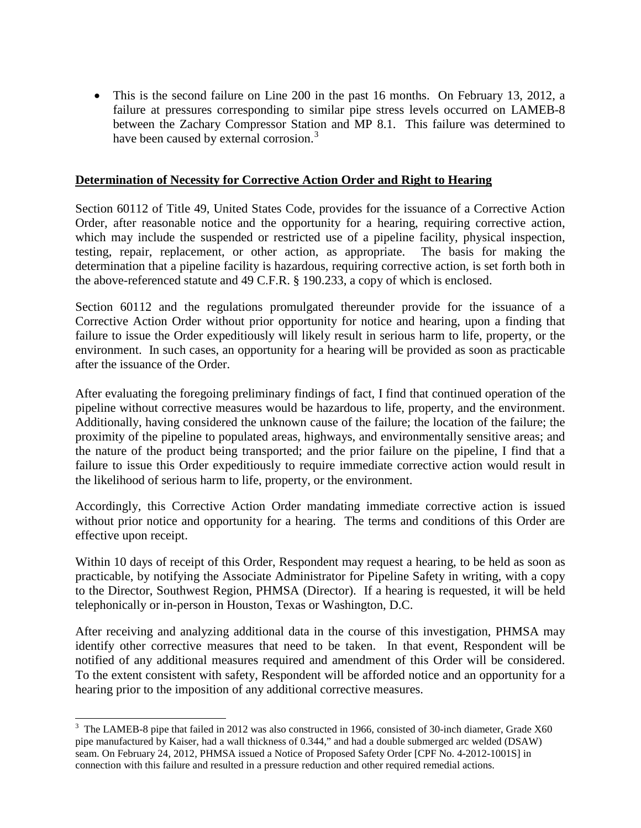• This is the second failure on Line 200 in the past 16 months. On February 13, 2012, a failure at pressures corresponding to similar pipe stress levels occurred on LAMEB-8 between the Zachary Compressor Station and MP 8.1. This failure was determined to have been caused by external corrosion.<sup>3</sup>

### **Determination of Necessity for Corrective Action Order and Right to Hearing**

Section 60112 of Title 49, United States Code, provides for the issuance of a Corrective Action Order, after reasonable notice and the opportunity for a hearing, requiring corrective action, which may include the suspended or restricted use of a pipeline facility, physical inspection, testing, repair, replacement, or other action, as appropriate. The basis for making the determination that a pipeline facility is hazardous, requiring corrective action, is set forth both in the above-referenced statute and 49 C.F.R. § 190.233, a copy of which is enclosed.

Section 60112 and the regulations promulgated thereunder provide for the issuance of a Corrective Action Order without prior opportunity for notice and hearing, upon a finding that failure to issue the Order expeditiously will likely result in serious harm to life, property, or the environment. In such cases, an opportunity for a hearing will be provided as soon as practicable after the issuance of the Order.

After evaluating the foregoing preliminary findings of fact, I find that continued operation of the pipeline without corrective measures would be hazardous to life, property, and the environment. Additionally, having considered the unknown cause of the failure; the location of the failure; the proximity of the pipeline to populated areas, highways, and environmentally sensitive areas; and the nature of the product being transported; and the prior failure on the pipeline, I find that a failure to issue this Order expeditiously to require immediate corrective action would result in the likelihood of serious harm to life, property, or the environment.

Accordingly, this Corrective Action Order mandating immediate corrective action is issued without prior notice and opportunity for a hearing. The terms and conditions of this Order are effective upon receipt.

Within 10 days of receipt of this Order, Respondent may request a hearing, to be held as soon as practicable, by notifying the Associate Administrator for Pipeline Safety in writing, with a copy to the Director, Southwest Region, PHMSA (Director). If a hearing is requested, it will be held telephonically or in-person in Houston, Texas or Washington, D.C.

After receiving and analyzing additional data in the course of this investigation, PHMSA may identify other corrective measures that need to be taken. In that event, Respondent will be notified of any additional measures required and amendment of this Order will be considered. To the extent consistent with safety, Respondent will be afforded notice and an opportunity for a hearing prior to the imposition of any additional corrective measures.

<sup>&</sup>lt;sup>3</sup> The LAMEB-8 pipe that failed in 2012 was also constructed in 1966, consisted of 30-inch diameter, Grade X60 pipe manufactured by Kaiser, had a wall thickness of 0.344," and had a double submerged arc welded (DSAW) seam. On February 24, 2012, PHMSA issued a Notice of Proposed Safety Order [CPF No. 4-2012-1001S] in connection with this failure and resulted in a pressure reduction and other required remedial actions.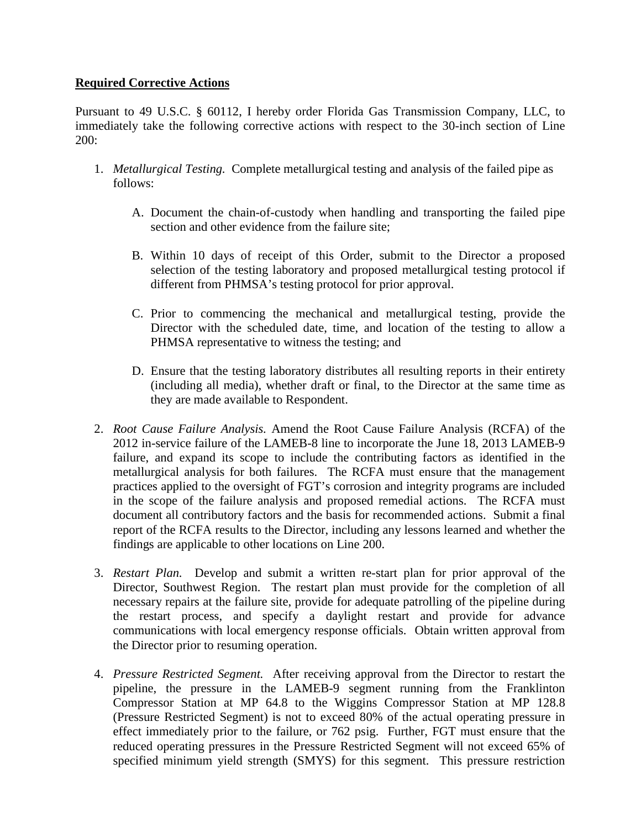# **Required Corrective Actions**

Pursuant to 49 U.S.C. § 60112, I hereby order Florida Gas Transmission Company, LLC, to immediately take the following corrective actions with respect to the 30-inch section of Line 200:

- 1. *Metallurgical Testing.* Complete metallurgical testing and analysis of the failed pipe as follows:
	- A. Document the chain-of-custody when handling and transporting the failed pipe section and other evidence from the failure site;
	- B. Within 10 days of receipt of this Order, submit to the Director a proposed selection of the testing laboratory and proposed metallurgical testing protocol if different from PHMSA's testing protocol for prior approval.
	- C. Prior to commencing the mechanical and metallurgical testing, provide the Director with the scheduled date, time, and location of the testing to allow a PHMSA representative to witness the testing; and
	- D. Ensure that the testing laboratory distributes all resulting reports in their entirety (including all media), whether draft or final, to the Director at the same time as they are made available to Respondent.
- 2. *Root Cause Failure Analysis.* Amend the Root Cause Failure Analysis (RCFA) of the 2012 in-service failure of the LAMEB-8 line to incorporate the June 18, 2013 LAMEB-9 failure, and expand its scope to include the contributing factors as identified in the metallurgical analysis for both failures. The RCFA must ensure that the management practices applied to the oversight of FGT's corrosion and integrity programs are included in the scope of the failure analysis and proposed remedial actions. The RCFA must document all contributory factors and the basis for recommended actions. Submit a final report of the RCFA results to the Director, including any lessons learned and whether the findings are applicable to other locations on Line 200.
- 3. *Restart Plan.* Develop and submit a written re-start plan for prior approval of the Director, Southwest Region. The restart plan must provide for the completion of all necessary repairs at the failure site, provide for adequate patrolling of the pipeline during the restart process, and specify a daylight restart and provide for advance communications with local emergency response officials. Obtain written approval from the Director prior to resuming operation.
- 4. *Pressure Restricted Segment.* After receiving approval from the Director to restart the pipeline, the pressure in the LAMEB-9 segment running from the Franklinton Compressor Station at MP 64.8 to the Wiggins Compressor Station at MP 128.8 (Pressure Restricted Segment) is not to exceed 80% of the actual operating pressure in effect immediately prior to the failure, or 762 psig. Further, FGT must ensure that the reduced operating pressures in the Pressure Restricted Segment will not exceed 65% of specified minimum yield strength (SMYS) for this segment. This pressure restriction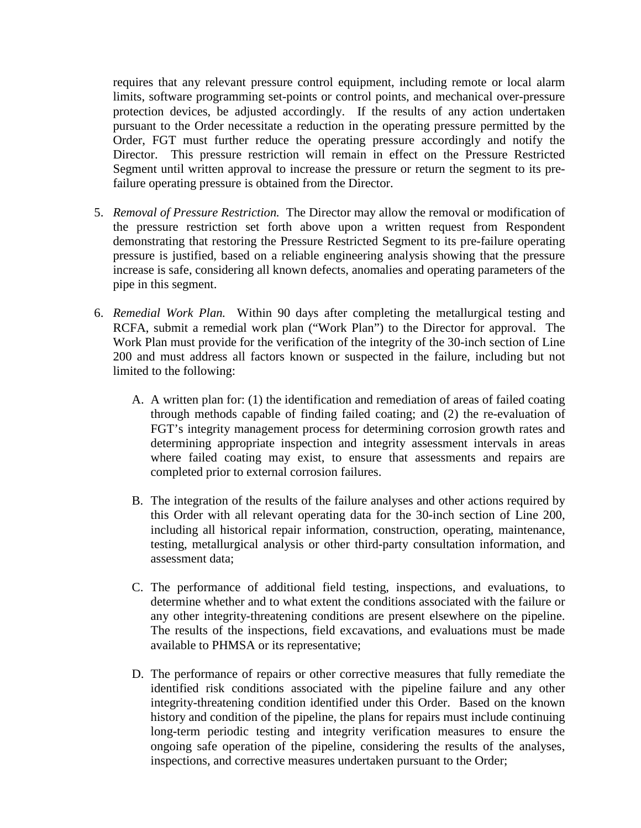requires that any relevant pressure control equipment, including remote or local alarm limits, software programming set-points or control points, and mechanical over-pressure protection devices, be adjusted accordingly. If the results of any action undertaken pursuant to the Order necessitate a reduction in the operating pressure permitted by the Order, FGT must further reduce the operating pressure accordingly and notify the Director. This pressure restriction will remain in effect on the Pressure Restricted Segment until written approval to increase the pressure or return the segment to its prefailure operating pressure is obtained from the Director.

- 5. *Removal of Pressure Restriction.* The Director may allow the removal or modification of the pressure restriction set forth above upon a written request from Respondent demonstrating that restoring the Pressure Restricted Segment to its pre-failure operating pressure is justified, based on a reliable engineering analysis showing that the pressure increase is safe, considering all known defects, anomalies and operating parameters of the pipe in this segment.
- 6. *Remedial Work Plan.* Within 90 days after completing the metallurgical testing and RCFA, submit a remedial work plan ("Work Plan") to the Director for approval. The Work Plan must provide for the verification of the integrity of the 30-inch section of Line 200 and must address all factors known or suspected in the failure, including but not limited to the following:
	- A. A written plan for: (1) the identification and remediation of areas of failed coating through methods capable of finding failed coating; and (2) the re-evaluation of FGT's integrity management process for determining corrosion growth rates and determining appropriate inspection and integrity assessment intervals in areas where failed coating may exist, to ensure that assessments and repairs are completed prior to external corrosion failures.
	- B. The integration of the results of the failure analyses and other actions required by this Order with all relevant operating data for the 30-inch section of Line 200, including all historical repair information, construction, operating, maintenance, testing, metallurgical analysis or other third-party consultation information, and assessment data;
	- C. The performance of additional field testing, inspections, and evaluations, to determine whether and to what extent the conditions associated with the failure or any other integrity-threatening conditions are present elsewhere on the pipeline. The results of the inspections, field excavations, and evaluations must be made available to PHMSA or its representative;
	- D. The performance of repairs or other corrective measures that fully remediate the identified risk conditions associated with the pipeline failure and any other integrity-threatening condition identified under this Order. Based on the known history and condition of the pipeline, the plans for repairs must include continuing long-term periodic testing and integrity verification measures to ensure the ongoing safe operation of the pipeline, considering the results of the analyses, inspections, and corrective measures undertaken pursuant to the Order;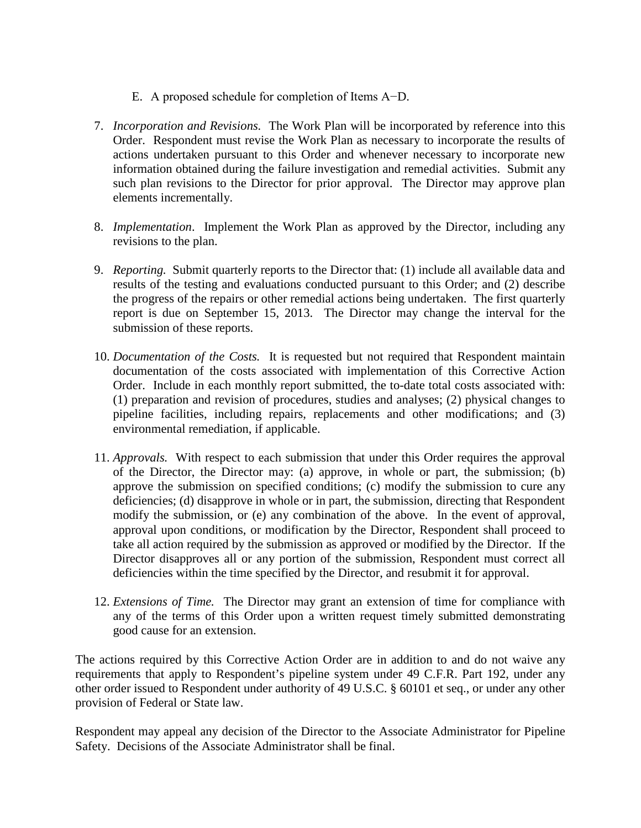- E. A proposed schedule for completion of Items A−D.
- 7. *Incorporation and Revisions.* The Work Plan will be incorporated by reference into this Order. Respondent must revise the Work Plan as necessary to incorporate the results of actions undertaken pursuant to this Order and whenever necessary to incorporate new information obtained during the failure investigation and remedial activities. Submit any such plan revisions to the Director for prior approval. The Director may approve plan elements incrementally.
- 8. *Implementation*. Implement the Work Plan as approved by the Director, including any revisions to the plan.
- 9. *Reporting.* Submit quarterly reports to the Director that: (1) include all available data and results of the testing and evaluations conducted pursuant to this Order; and (2) describe the progress of the repairs or other remedial actions being undertaken. The first quarterly report is due on September 15, 2013. The Director may change the interval for the submission of these reports.
- 10. *Documentation of the Costs.* It is requested but not required that Respondent maintain documentation of the costs associated with implementation of this Corrective Action Order. Include in each monthly report submitted, the to-date total costs associated with: (1) preparation and revision of procedures, studies and analyses; (2) physical changes to pipeline facilities, including repairs, replacements and other modifications; and (3) environmental remediation, if applicable.
- 11. *Approvals.* With respect to each submission that under this Order requires the approval of the Director, the Director may: (a) approve, in whole or part, the submission; (b) approve the submission on specified conditions; (c) modify the submission to cure any deficiencies; (d) disapprove in whole or in part, the submission, directing that Respondent modify the submission, or (e) any combination of the above. In the event of approval, approval upon conditions, or modification by the Director, Respondent shall proceed to take all action required by the submission as approved or modified by the Director. If the Director disapproves all or any portion of the submission, Respondent must correct all deficiencies within the time specified by the Director, and resubmit it for approval.
- 12. *Extensions of Time.* The Director may grant an extension of time for compliance with any of the terms of this Order upon a written request timely submitted demonstrating good cause for an extension.

The actions required by this Corrective Action Order are in addition to and do not waive any requirements that apply to Respondent's pipeline system under 49 C.F.R. Part 192, under any other order issued to Respondent under authority of 49 U.S.C. § 60101 et seq., or under any other provision of Federal or State law.

Respondent may appeal any decision of the Director to the Associate Administrator for Pipeline Safety. Decisions of the Associate Administrator shall be final.